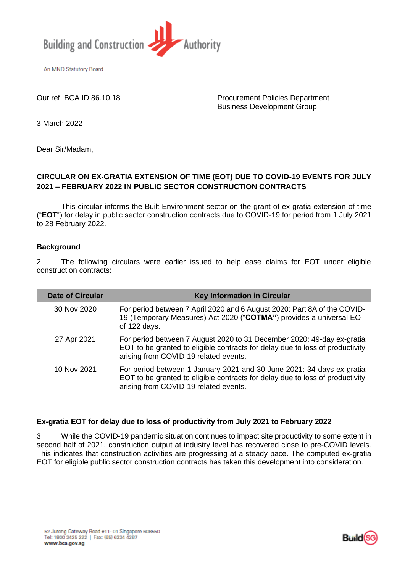

An MND Statutory Board

Our ref: BCA ID 86.10.18 Procurement Policies Department Business Development Group

3 March 2022

Dear Sir/Madam,

## **CIRCULAR ON EX-GRATIA EXTENSION OF TIME (EOT) DUE TO COVID-19 EVENTS FOR JULY 2021 – FEBRUARY 2022 IN PUBLIC SECTOR CONSTRUCTION CONTRACTS**

This circular informs the Built Environment sector on the grant of ex-gratia extension of time ("**EOT**") for delay in public sector construction contracts due to COVID-19 for period from 1 July 2021 to 28 February 2022.

## **Background**

2 The following circulars were earlier issued to help ease claims for EOT under eligible construction contracts:

| <b>Date of Circular</b> | <b>Key Information in Circular</b>                                                                                                                                                               |
|-------------------------|--------------------------------------------------------------------------------------------------------------------------------------------------------------------------------------------------|
| 30 Nov 2020             | For period between 7 April 2020 and 6 August 2020: Part 8A of the COVID-<br>19 (Temporary Measures) Act 2020 ("COTMA") provides a universal EOT<br>of 122 days.                                  |
| 27 Apr 2021             | For period between 7 August 2020 to 31 December 2020: 49-day ex-gratia<br>EOT to be granted to eligible contracts for delay due to loss of productivity<br>arising from COVID-19 related events. |
| 10 Nov 2021             | For period between 1 January 2021 and 30 June 2021: 34-days ex-gratia<br>EOT to be granted to eligible contracts for delay due to loss of productivity<br>arising from COVID-19 related events.  |

## **Ex-gratia EOT for delay due to loss of productivity from July 2021 to February 2022**

3 While the COVID-19 pandemic situation continues to impact site productivity to some extent in second half of 2021, construction output at industry level has recovered close to pre-COVID levels. This indicates that construction activities are progressing at a steady pace. The computed ex-gratia EOT for eligible public sector construction contracts has taken this development into consideration.

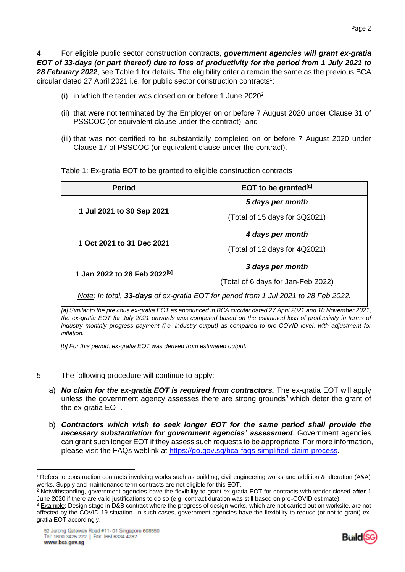4 For eligible public sector construction contracts, *government agencies will grant ex-gratia EOT of 33-days (or part thereof) due to loss of productivity for the period from 1 July 2021 to 28 February 2022*, see Table 1 for details*.* The eligibility criteria remain the same as the previous BCA circular dated 27 April 2021 i.e. for public sector construction contracts<sup>1</sup>:

- (i) in which the tender was closed on or before 1 June  $2020^2$
- (ii) that were not terminated by the Employer on or before 7 August 2020 under Clause 31 of PSSCOC (or equivalent clause under the contract); and
- (iii) that was not certified to be substantially completed on or before 7 August 2020 under Clause 17 of PSSCOC (or equivalent clause under the contract).

| <b>Period</b>                                                                       | EOT to be granted <sup>[a]</sup>   |  |
|-------------------------------------------------------------------------------------|------------------------------------|--|
|                                                                                     | 5 days per month                   |  |
| 1 Jul 2021 to 30 Sep 2021                                                           | (Total of 15 days for 3Q2021)      |  |
|                                                                                     | 4 days per month                   |  |
| 1 Oct 2021 to 31 Dec 2021                                                           | (Total of 12 days for 4Q2021)      |  |
| 1 Jan 2022 to 28 Feb 2022 <sup>[b]</sup>                                            | 3 days per month                   |  |
|                                                                                     | (Total of 6 days for Jan-Feb 2022) |  |
| Note: In total, 33-days of ex-gratia EOT for period from 1 Jul 2021 to 28 Feb 2022. |                                    |  |

Table 1: Ex-gratia EOT to be granted to eligible construction contracts

*[a] Similar to the previous ex-gratia EOT as announced in BCA circular dated 27 April 2021 and 10 November 2021, the ex-gratia EOT for July 2021 onwards was computed based on the estimated loss of productivity in terms of industry monthly progress payment (i.e. industry output) as compared to pre-COVID level, with adjustment for inflation.*

*[b] For this period, ex-gratia EOT was derived from estimated output.*

- 5 The following procedure will continue to apply:
	- a) *No claim for the ex-gratia EOT is required from contractors.* The ex-gratia EOT will apply unless the government agency assesses there are strong grounds<sup>3</sup> which deter the grant of the ex-gratia EOT.
	- b) *Contractors which wish to seek longer EOT for the same period shall provide the necessary substantiation for government agencies' assessment*. Government agencies can grant such longer EOT if they assess such requests to be appropriate. For more information, please visit the FAQs weblink at [https://go.gov.sg/bca-faqs-simplified-claim-process.](https://go.gov.sg/bca-faqs-simplified-claim-process)



<sup>1</sup> Refers to construction contracts involving works such as building, civil engineering works and addition & alteration (A&A) works. Supply and maintenance term contracts are not eligible for this EOT.

<sup>2</sup> Notwithstanding, government agencies have the flexibility to grant ex-gratia EOT for contracts with tender closed **after** 1 June 2020 if there are valid justifications to do so (e.g. contract duration was still based on pre-COVID estimate).

<sup>&</sup>lt;sup>3</sup> Example: Design stage in D&B contract where the progress of design works, which are not carried out on worksite, are not affected by the COVID-19 situation. In such cases, government agencies have the flexibility to reduce (or not to grant) exgratia EOT accordingly.